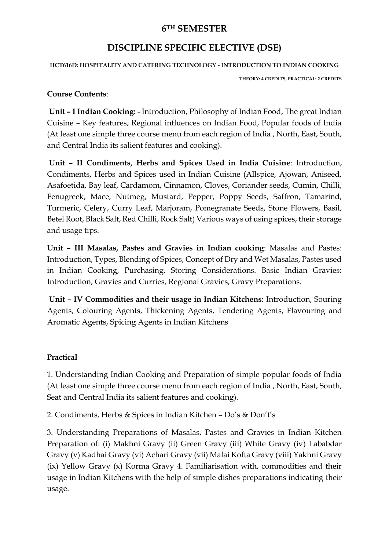# **6TH SEMESTER**

# **DISCIPLINE SPECIFIC ELECTIVE (DSE)**

#### **HCT616D: HOSPITALITY AND CATERING TECHNOLOGY - INTRODUCTION TO INDIAN COOKING**

**THEORY: 4 CREDITS, PRACTICAL: 2 CREDITS**

### **Course Contents**:

**Unit – I Indian Cooking:** - Introduction, Philosophy of Indian Food, The great Indian Cuisine – Key features, Regional influences on Indian Food, Popular foods of India (At least one simple three course menu from each region of India , North, East, South, and Central India its salient features and cooking).

**Unit – II Condiments, Herbs and Spices Used in India Cuisine**: Introduction, Condiments, Herbs and Spices used in Indian Cuisine (Allspice, Ajowan, Aniseed, Asafoetida, Bay leaf, Cardamom, Cinnamon, Cloves, Coriander seeds, Cumin, Chilli, Fenugreek, Mace, Nutmeg, Mustard, Pepper, Poppy Seeds, Saffron, Tamarind, Turmeric, Celery, Curry Leaf, Marjoram, Pomegranate Seeds, Stone Flowers, Basil, Betel Root, Black Salt, Red Chilli, Rock Salt) Various ways of using spices, their storage and usage tips.

**Unit – III Masalas, Pastes and Gravies in Indian cooking**: Masalas and Pastes: Introduction, Types, Blending of Spices, Concept of Dry and Wet Masalas, Pastes used in Indian Cooking, Purchasing, Storing Considerations. Basic Indian Gravies: Introduction, Gravies and Curries, Regional Gravies, Gravy Preparations.

**Unit – IV Commodities and their usage in Indian Kitchens:** Introduction, Souring Agents, Colouring Agents, Thickening Agents, Tendering Agents, Flavouring and Aromatic Agents, Spicing Agents in Indian Kitchens

# **Practical**

1. Understanding Indian Cooking and Preparation of simple popular foods of India (At least one simple three course menu from each region of India , North, East, South, Seat and Central India its salient features and cooking).

2. Condiments, Herbs & Spices in Indian Kitchen – Do's & Don't's

3. Understanding Preparations of Masalas, Pastes and Gravies in Indian Kitchen Preparation of: (i) Makhni Gravy (ii) Green Gravy (iii) White Gravy (iv) Lababdar Gravy (v) Kadhai Gravy (vi) Achari Gravy (vii) Malai Kofta Gravy (viii) Yakhni Gravy (ix) Yellow Gravy (x) Korma Gravy 4. Familiarisation with, commodities and their usage in Indian Kitchens with the help of simple dishes preparations indicating their usage.